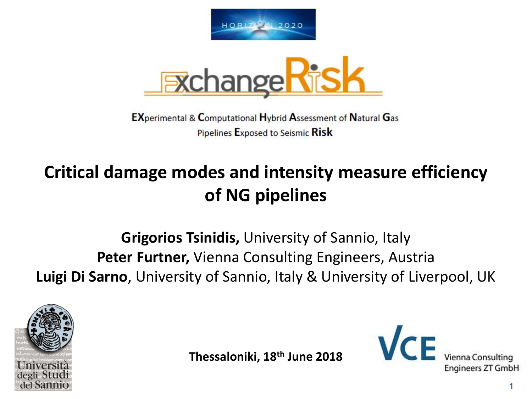



**EXperimental & Computational Hybrid Assessment of Natural Gas** Pipelines Exposed to Seismic Risk

# **Critical damage modes and intensity measure efficiency of NG pipelines**

# **Grigorios Tsinidis,** University of Sannio, Italy **Peter Furtner,** Vienna Consulting Engineers, Austria **Luigi Di Sarno**, University of Sannio, Italy & University of Liverpool, UK



**Thessaloniki, 18th June 2018**



**Engineers ZT GmbH**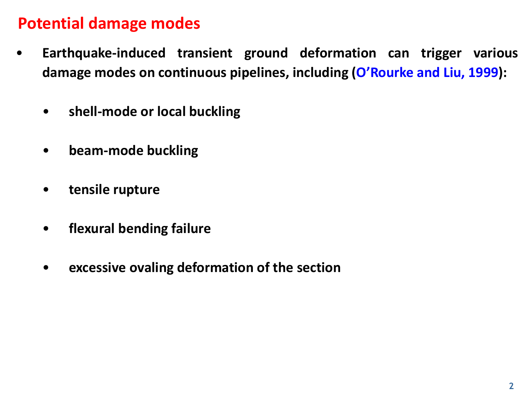### **Potential damage modes**

- **Earthquake-induced transient ground deformation can trigger various damage modes on continuous pipelines, including (O'Rourke and Liu, 1999):**
	- **shell-mode or local buckling**
	- **beam-mode buckling**
	- **tensile rupture**
	- **flexural bending failure**
	- **excessive ovaling deformation of the section**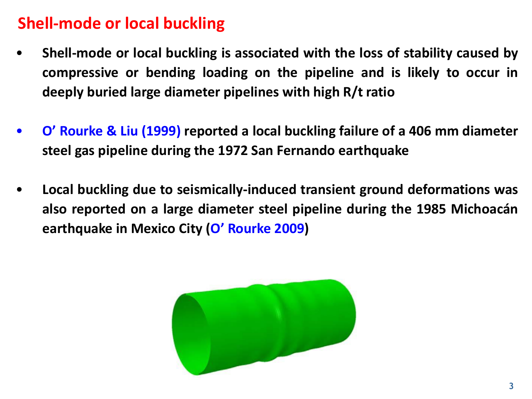# **Shell-mode or local buckling**

- **Shell-mode or local buckling is associated with the loss of stability caused by compressive or bending loading on the pipeline and is likely to occur in deeply buried large diameter pipelines with high R/t ratio**
- **O' Rourke & Liu (1999) reported a local buckling failure of a 406 mm diameter steel gas pipeline during the 1972 San Fernando earthquake**
- **Local buckling due to seismically-induced transient ground deformations was also reported on a large diameter steel pipeline during the 1985 Michoacán earthquake in Mexico City (O' Rourke 2009)**

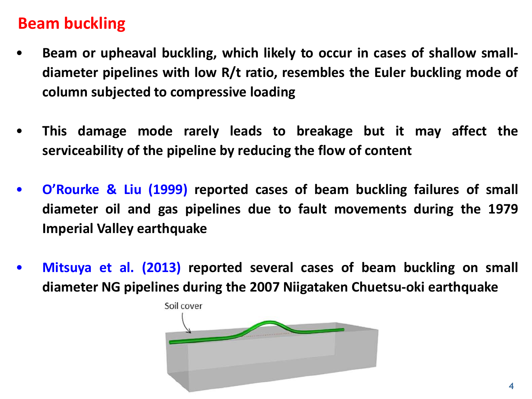#### **Beam buckling**

- **Beam or upheaval buckling, which likely to occur in cases of shallow smalldiameter pipelines with low R/t ratio, resembles the Euler buckling mode of column subjected to compressive loading**
- **This damage mode rarely leads to breakage but it may affect the serviceability of the pipeline by reducing the flow of content**
- **O'Rourke & Liu (1999) reported cases of beam buckling failures of small diameter oil and gas pipelines due to fault movements during the 1979 Imperial Valley earthquake**
- **Mitsuya et al. (2013) reported several cases of beam buckling on small diameter NG pipelines during the 2007 Niigataken Chuetsu-oki earthquake**

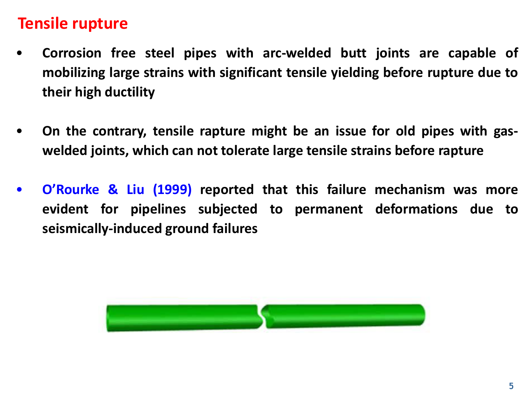#### **Tensile rupture**

- **Corrosion free steel pipes with arc-welded butt joints are capable of mobilizing large strains with significant tensile yielding before rupture due to their high ductility**
- **On the contrary, tensile rapture might be an issue for old pipes with gaswelded joints, which can not tolerate large tensile strains before rapture**
- **O'Rourke & Liu (1999) reported that this failure mechanism was more evident for pipelines subjected to permanent deformations due to seismically-induced ground failures**

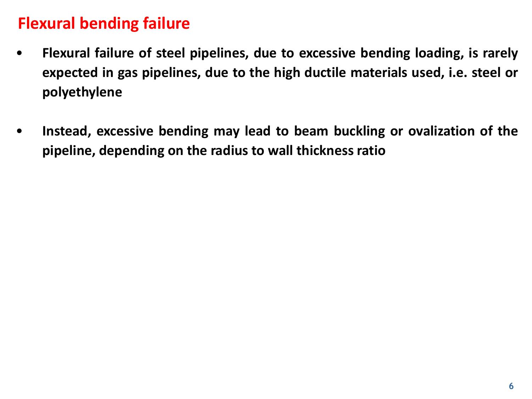#### **Flexural bending failure**

- **Flexural failure of steel pipelines, due to excessive bending loading, is rarely expected in gas pipelines, due to the high ductile materials used, i.e. steel or polyethylene**
- **Instead, excessive bending may lead to beam buckling or ovalization of the pipeline, depending on the radius to wall thickness ratio**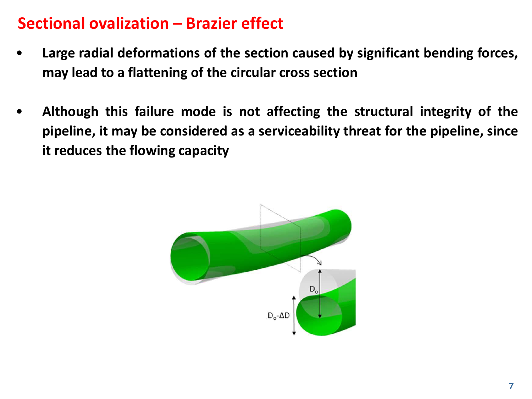#### **Sectional ovalization – Brazier effect**

- **Large radial deformations of the section caused by significant bending forces, may lead to a flattening of the circular cross section**
- **Although this failure mode is not affecting the structural integrity of the pipeline, it may be considered as a serviceability threat for the pipeline, since it reduces the flowing capacity**

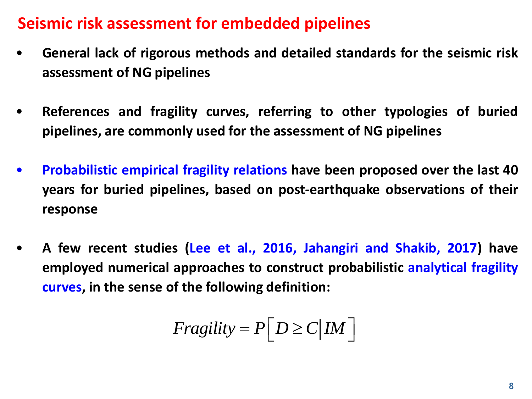#### **Seismic risk assessment for embedded pipelines**

- **General lack of rigorous methods and detailed standards for the seismic risk assessment of NG pipelines**
- **References and fragility curves, referring to other typologies of buried pipelines, are commonly used for the assessment of NG pipelines**
- **Probabilistic empirical fragility relations have been proposed over the last 40 years for buried pipelines, based on post-earthquake observations of their response**
- **A few recent studies (Lee et al., 2016, Jahangiri and Shakib, 2017) have employed numerical approaches to construct probabilistic analytical fragility curves, in the sense of the following definition:**

$$
Fragility = P[D \ge C | IM]
$$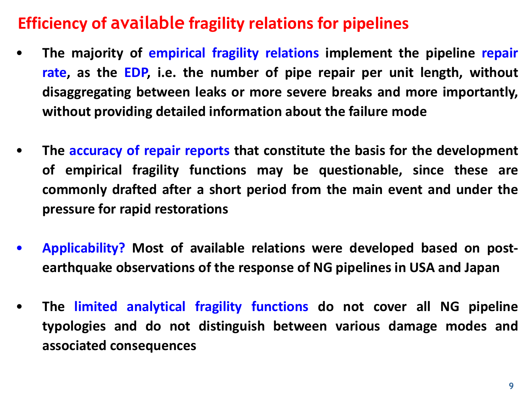# **Efficiency of available fragility relations for pipelines**

- **The majority of empirical fragility relations implement the pipeline repair rate, as the EDP, i.e. the number of pipe repair per unit length, without disaggregating between leaks or more severe breaks and more importantly, without providing detailed information about the failure mode**
- **The accuracy of repair reports that constitute the basis for the development of empirical fragility functions may be questionable, since these are commonly drafted after a short period from the main event and under the pressure for rapid restorations**
- **Applicability? Most of available relations were developed based on postearthquake observations of the response of NG pipelines in USA and Japan**
- **The limited analytical fragility functions do not cover all NG pipeline typologies and do not distinguish between various damage modes and associated consequences**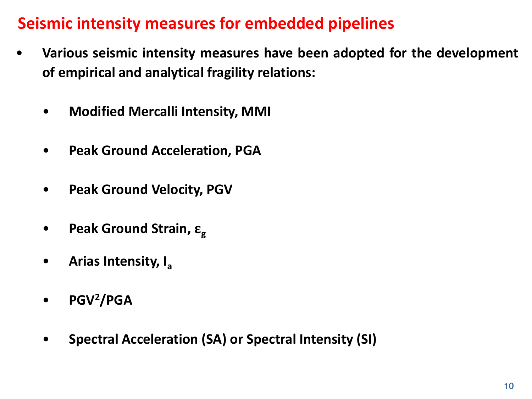# **Seismic intensity measures for embedded pipelines**

- **Various seismic intensity measures have been adopted for the development of empirical and analytical fragility relations:**
	- **Modified Mercalli Intensity, MMI**
	- **Peak Ground Acceleration, PGA**
	- **Peak Ground Velocity, PGV**
	- **Peak Ground Strain, ε<sup>g</sup>**
	- **Arias Intensity, I<sup>a</sup>**
	- **PGV<sup>2</sup>/PGA**
	- **Spectral Acceleration (SA) or Spectral Intensity (SI)**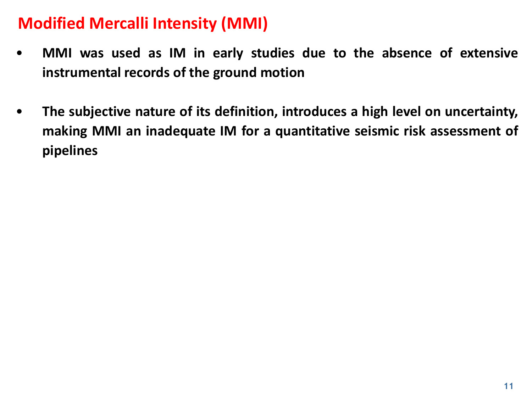# **Modified Mercalli Intensity (MMI)**

- **MMI was used as IM in early studies due to the absence of extensive instrumental records of the ground motion**
- **The subjective nature of its definition, introduces a high level on uncertainty, making MMI an inadequate IM for a quantitative seismic risk assessment of pipelines**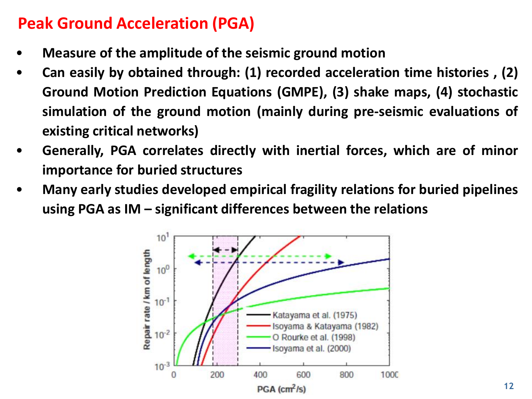### **Peak Ground Acceleration (PGA)**

- **Measure of the amplitude of the seismic ground motion**
- **Can easily by obtained through: (1) recorded acceleration time histories , (2) Ground Motion Prediction Equations (GMPE), (3) shake maps, (4) stochastic simulation of the ground motion (mainly during pre-seismic evaluations of existing critical networks)**
- **Generally, PGA correlates directly with inertial forces, which are of minor importance for buried structures**
- **Many early studies developed empirical fragility relations for buried pipelines using PGA as IM – significant differences between the relations**

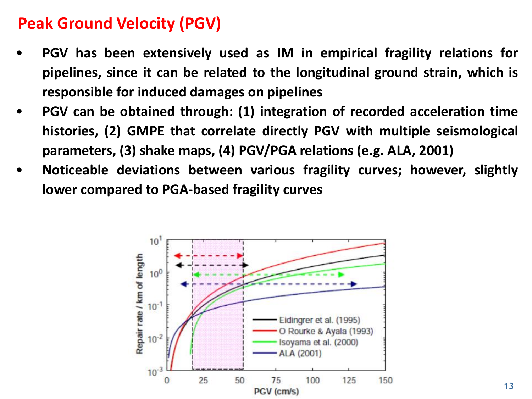## **Peak Ground Velocity (PGV)**

- **PGV has been extensively used as IM in empirical fragility relations for pipelines, since it can be related to the longitudinal ground strain, which is responsible for induced damages on pipelines**
- **PGV can be obtained through: (1) integration of recorded acceleration time histories, (2) GMPE that correlate directly PGV with multiple seismological parameters, (3) shake maps, (4) PGV/PGA relations (e.g. ALA, 2001)**
- **Noticeable deviations between various fragility curves; however, slightly lower compared to PGA-based fragility curves**

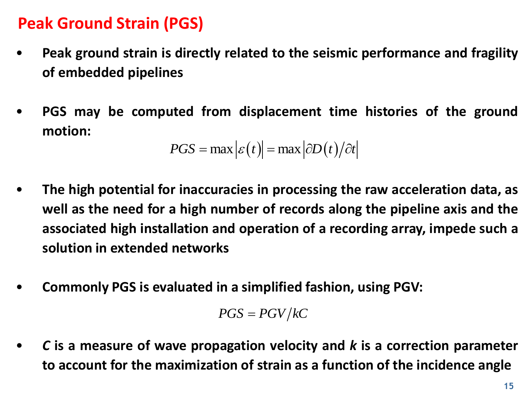# **Peak Ground Strain (PGS)**

- **Peak ground strain is directly related to the seismic performance and fragility of embedded pipelines**
- **PGS may be computed from displacement time histories of the ground motion:**

$$
PGS = \max \left| \varepsilon(t) \right| = \max \left| \partial D(t) / \partial t \right|
$$

- **The high potential for inaccuracies in processing the raw acceleration data, as well as the need for a high number of records along the pipeline axis and the associated high installation and operation of a recording array, impede such a solution in extended networks the high potential for inaccuracies in processing the raw acceleration data, a<br>
well as the need for a high number of records along the pipeline axis and th<br>
associated high installation and operation of a recording ar**
- **Commonly PGS is evaluated in a simplified fashion, using PGV:**

 $PGS = PGV/kC$ 

• *C* **is a measure of wave propagation velocity and** *k* **is a correction parameter**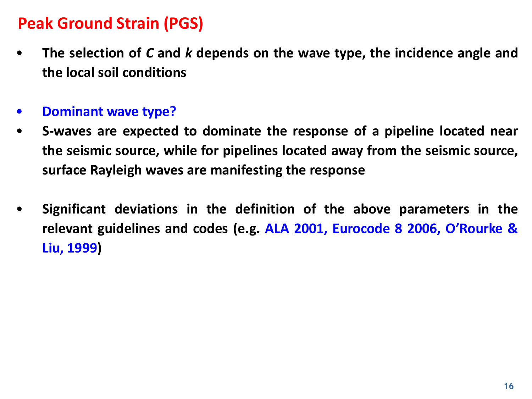# **Peak Ground Strain (PGS)**

- **The selection of** *C* **and** *k* **depends on the wave type, the incidence angle and the local soil conditions**
- **Dominant wave type?**
- **S-waves are expected to dominate the response of a pipeline located near the seismic source, while for pipelines located away from the seismic source, surface Rayleigh waves are manifesting the response**
- **Significant deviations in the definition of the above parameters in the relevant guidelines and codes (e.g. ALA 2001, Eurocode 8 2006, O'Rourke & Liu, 1999)**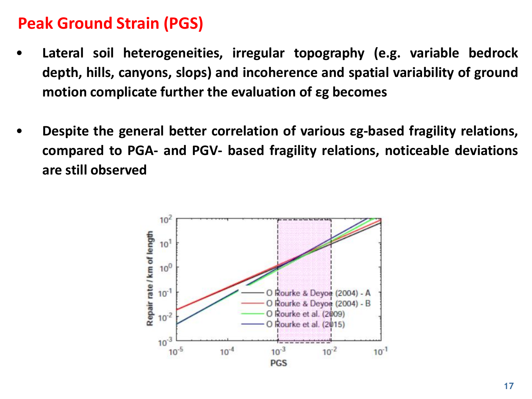#### **Peak Ground Strain (PGS)**

- **Lateral soil heterogeneities, irregular topography (e.g. variable bedrock depth, hills, canyons, slops) and incoherence and spatial variability of ground motion complicate further the evaluation of εg becomes**
- **Despite the general better correlation of various εg-based fragility relations, compared to PGA- and PGV- based fragility relations, noticeable deviations are still observed**

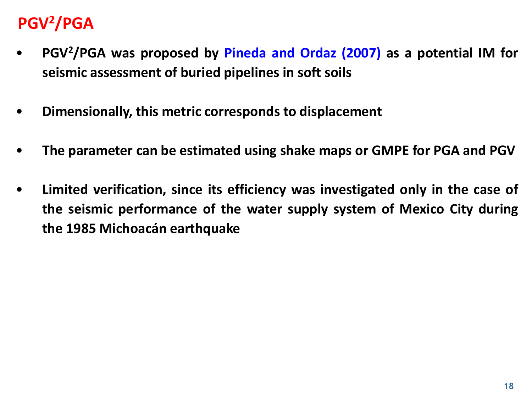# **PGV2/PGA**

- **PGV<sup>2</sup>/PGA was proposed by Pineda and Ordaz (2007) as a potential IM for seismic assessment of buried pipelines in soft soils**
- **Dimensionally, this metric corresponds to displacement**
- **The parameter can be estimated using shake maps or GMPE for PGA and PGV**
- **Limited verification, since its efficiency was investigated only in the case of the seismic performance of the water supply system of Mexico City during the 1985 Michoacán earthquake**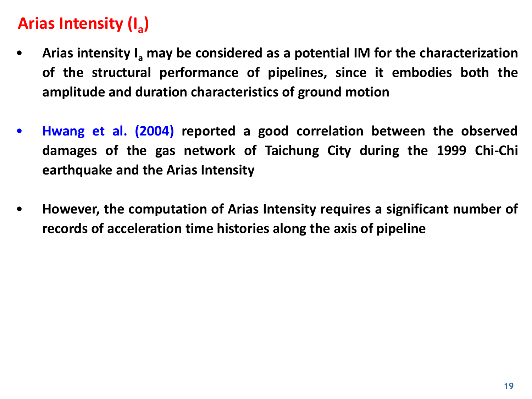# **Arias Intensity (I<sup>a</sup> )**

- **Arias intensity I<sup>a</sup> may be considered as a potential IM for the characterization of the structural performance of pipelines, since it embodies both the amplitude and duration characteristics of ground motion**
- **Hwang et al. (2004) reported a good correlation between the observed damages of the gas network of Taichung City during the 1999 Chi-Chi earthquake and the Arias Intensity**
- **However, the computation of Arias Intensity requires a significant number of records of acceleration time histories along the axis of pipeline**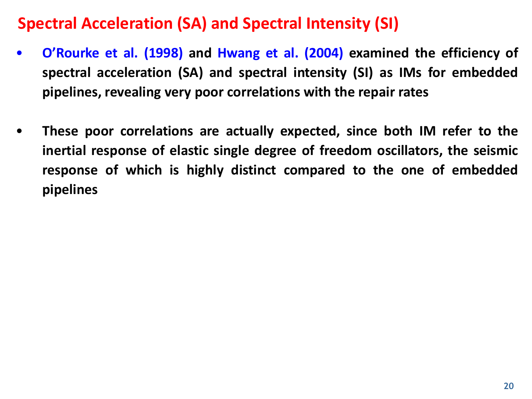# **Spectral Acceleration (SA) and Spectral Intensity (SI)**

- **O'Rourke et al. (1998) and Hwang et al. (2004) examined the efficiency of spectral acceleration (SA) and spectral intensity (SI) as IMs for embedded pipelines, revealing very poor correlations with the repair rates**
- **These poor correlations are actually expected, since both IM refer to the inertial response of elastic single degree of freedom oscillators, the seismic response of which is highly distinct compared to the one of embedded pipelines**